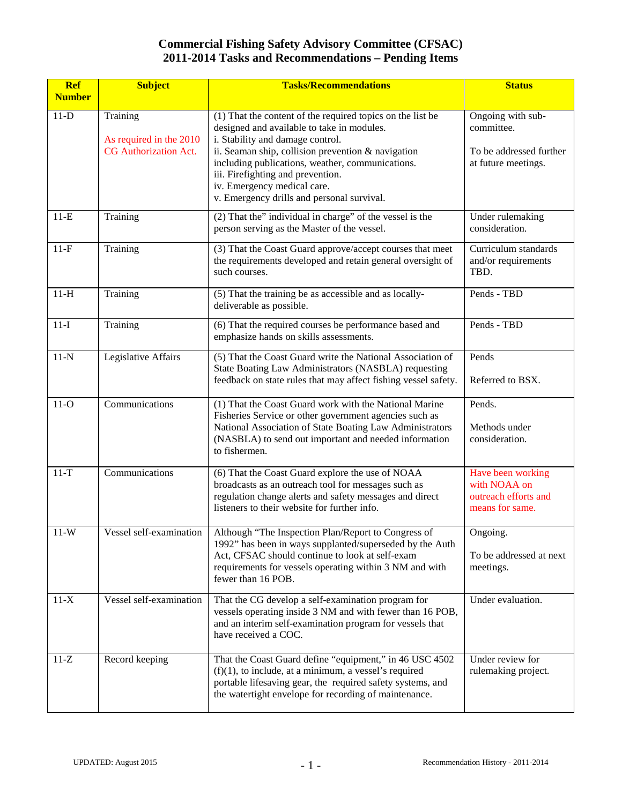| <b>Ref</b><br><b>Number</b> | <b>Subject</b>                                          | <b>Tasks/Recommendations</b>                                                                                                                                                                                                                                 | <b>Status</b>                                                                |
|-----------------------------|---------------------------------------------------------|--------------------------------------------------------------------------------------------------------------------------------------------------------------------------------------------------------------------------------------------------------------|------------------------------------------------------------------------------|
| $11-D$                      | Training                                                | (1) That the content of the required topics on the list be<br>designed and available to take in modules.                                                                                                                                                     | Ongoing with sub-<br>committee.                                              |
|                             | As required in the 2010<br><b>CG</b> Authorization Act. | i. Stability and damage control.<br>ii. Seaman ship, collision prevention & navigation<br>including publications, weather, communications.<br>iii. Firefighting and prevention.<br>iv. Emergency medical care.<br>v. Emergency drills and personal survival. | To be addressed further<br>at future meetings.                               |
| $11-E$                      | Training                                                | (2) That the" individual in charge" of the vessel is the<br>person serving as the Master of the vessel.                                                                                                                                                      | Under rulemaking<br>consideration.                                           |
| $11-F$                      | Training                                                | (3) That the Coast Guard approve/accept courses that meet<br>the requirements developed and retain general oversight of<br>such courses.                                                                                                                     | Curriculum standards<br>and/or requirements<br>TBD.                          |
| $11-H$                      | Training                                                | (5) That the training be as accessible and as locally-<br>deliverable as possible.                                                                                                                                                                           | Pends - TBD                                                                  |
| $11-I$                      | Training                                                | $\overline{(6)}$ That the required courses be performance based and<br>emphasize hands on skills assessments.                                                                                                                                                | Pends - TBD                                                                  |
| $11-N$                      | Legislative Affairs                                     | (5) That the Coast Guard write the National Association of<br>State Boating Law Administrators (NASBLA) requesting<br>feedback on state rules that may affect fishing vessel safety.                                                                         | Pends<br>Referred to BSX.                                                    |
| $11-O$                      | Communications                                          | (1) That the Coast Guard work with the National Marine<br>Fisheries Service or other government agencies such as<br>National Association of State Boating Law Administrators<br>(NASBLA) to send out important and needed information<br>to fishermen.       | Pends.<br>Methods under<br>consideration.                                    |
| $11-T$                      | Communications                                          | (6) That the Coast Guard explore the use of NOAA<br>broadcasts as an outreach tool for messages such as<br>regulation change alerts and safety messages and direct<br>listeners to their website for further info.                                           | Have been working<br>with NOAA on<br>outreach efforts and<br>means for same. |
| $11-W$                      | Vessel self-examination                                 | Although "The Inspection Plan/Report to Congress of<br>1992" has been in ways supplanted/superseded by the Auth<br>Act, CFSAC should continue to look at self-exam<br>requirements for vessels operating within 3 NM and with<br>fewer than 16 POB.          | Ongoing.<br>To be addressed at next<br>meetings.                             |
| $11-X$                      | Vessel self-examination                                 | That the CG develop a self-examination program for<br>vessels operating inside 3 NM and with fewer than 16 POB,<br>and an interim self-examination program for vessels that<br>have received a COC.                                                          | Under evaluation.                                                            |
| $11-Z$                      | Record keeping                                          | That the Coast Guard define "equipment," in 46 USC 4502<br>$(f)(1)$ , to include, at a minimum, a vessel's required<br>portable lifesaving gear, the required safety systems, and<br>the watertight envelope for recording of maintenance.                   | Under review for<br>rulemaking project.                                      |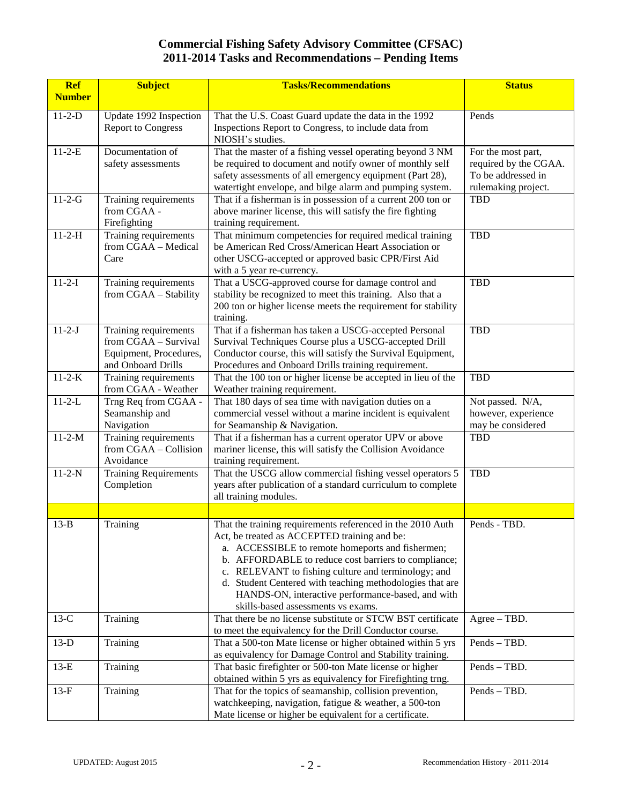| <b>Ref</b><br><b>Number</b> | <b>Subject</b>                               | <b>Tasks/Recommendations</b>                                                                                             | <b>Status</b>                     |
|-----------------------------|----------------------------------------------|--------------------------------------------------------------------------------------------------------------------------|-----------------------------------|
|                             |                                              |                                                                                                                          |                                   |
| $11 - 2 - D$                | Update 1992 Inspection                       | That the U.S. Coast Guard update the data in the 1992                                                                    | Pends                             |
|                             | <b>Report to Congress</b>                    | Inspections Report to Congress, to include data from<br>NIOSH's studies.                                                 |                                   |
| $11 - 2 - E$                | Documentation of                             | That the master of a fishing vessel operating beyond 3 NM                                                                | For the most part,                |
|                             | safety assessments                           | be required to document and notify owner of monthly self                                                                 | required by the CGAA.             |
|                             |                                              | safety assessments of all emergency equipment (Part 28),                                                                 | To be addressed in                |
| $11 - 2 - G$                |                                              | watertight envelope, and bilge alarm and pumping system.<br>That if a fisherman is in possession of a current 200 ton or | rulemaking project.<br><b>TBD</b> |
|                             | Training requirements<br>from CGAA -         | above mariner license, this will satisfy the fire fighting                                                               |                                   |
|                             | Firefighting                                 | training requirement.                                                                                                    |                                   |
| $11 - 2 - H$                | Training requirements                        | That minimum competencies for required medical training                                                                  | <b>TBD</b>                        |
|                             | from CGAA - Medical                          | be American Red Cross/American Heart Association or                                                                      |                                   |
|                             | Care                                         | other USCG-accepted or approved basic CPR/First Aid                                                                      |                                   |
|                             |                                              | with a 5 year re-currency.                                                                                               |                                   |
| $11 - 2 - I$                | Training requirements                        | That a USCG-approved course for damage control and                                                                       | <b>TBD</b>                        |
|                             | from CGAA - Stability                        | stability be recognized to meet this training. Also that a                                                               |                                   |
|                             |                                              | 200 ton or higher license meets the requirement for stability                                                            |                                   |
|                             |                                              | training.                                                                                                                |                                   |
| $11 - 2 - J$                | Training requirements                        | That if a fisherman has taken a USCG-accepted Personal                                                                   | <b>TBD</b>                        |
|                             | from CGAA - Survival                         | Survival Techniques Course plus a USCG-accepted Drill                                                                    |                                   |
|                             | Equipment, Procedures,                       | Conductor course, this will satisfy the Survival Equipment,                                                              |                                   |
|                             | and Onboard Drills                           | Procedures and Onboard Drills training requirement.                                                                      |                                   |
| $11 - 2 - K$                | Training requirements<br>from CGAA - Weather | That the 100 ton or higher license be accepted in lieu of the<br>Weather training requirement.                           | <b>TBD</b>                        |
| $11 - 2 - L$                | Trng Req from CGAA -                         | That 180 days of sea time with navigation duties on a                                                                    | Not passed. N/A,                  |
|                             | Seamanship and                               | commercial vessel without a marine incident is equivalent                                                                | however, experience               |
|                             | Navigation                                   | for Seamanship & Navigation.                                                                                             | may be considered                 |
| $11 - 2 - M$                | Training requirements                        | That if a fisherman has a current operator UPV or above                                                                  | TBD                               |
|                             | from CGAA - Collision                        | mariner license, this will satisfy the Collision Avoidance                                                               |                                   |
|                             | Avoidance                                    | training requirement.                                                                                                    |                                   |
| $11 - 2 - N$                | <b>Training Requirements</b>                 | That the USCG allow commercial fishing vessel operators 5                                                                | <b>TBD</b>                        |
|                             | Completion                                   | years after publication of a standard curriculum to complete<br>all training modules.                                    |                                   |
|                             |                                              |                                                                                                                          |                                   |
| $13-B$                      | Training                                     | That the training requirements referenced in the 2010 Auth                                                               | Pends - TBD.                      |
|                             |                                              | Act, be treated as ACCEPTED training and be:                                                                             |                                   |
|                             |                                              | a. ACCESSIBLE to remote homeports and fishermen;                                                                         |                                   |
|                             |                                              | b. AFFORDABLE to reduce cost barriers to compliance;                                                                     |                                   |
|                             |                                              | c. RELEVANT to fishing culture and terminology; and                                                                      |                                   |
|                             |                                              | d. Student Centered with teaching methodologies that are                                                                 |                                   |
|                             |                                              | HANDS-ON, interactive performance-based, and with                                                                        |                                   |
|                             |                                              | skills-based assessments vs exams.                                                                                       |                                   |
| $13-C$                      | Training                                     | That there be no license substitute or STCW BST certificate                                                              | $Agree - TBD$ .                   |
| $13-D$                      | Training                                     | to meet the equivalency for the Drill Conductor course.<br>That a 500-ton Mate license or higher obtained within 5 yrs   | Pends - TBD.                      |
|                             |                                              | as equivalency for Damage Control and Stability training.                                                                |                                   |
| $13-E$                      | Training                                     | That basic firefighter or 500-ton Mate license or higher                                                                 | Pends - TBD.                      |
|                             |                                              | obtained within 5 yrs as equivalency for Firefighting trng.                                                              |                                   |
| $13-F$                      | Training                                     | That for the topics of seamanship, collision prevention,                                                                 | Pends - TBD.                      |
|                             |                                              | watchkeeping, navigation, fatigue & weather, a 500-ton                                                                   |                                   |
|                             |                                              | Mate license or higher be equivalent for a certificate.                                                                  |                                   |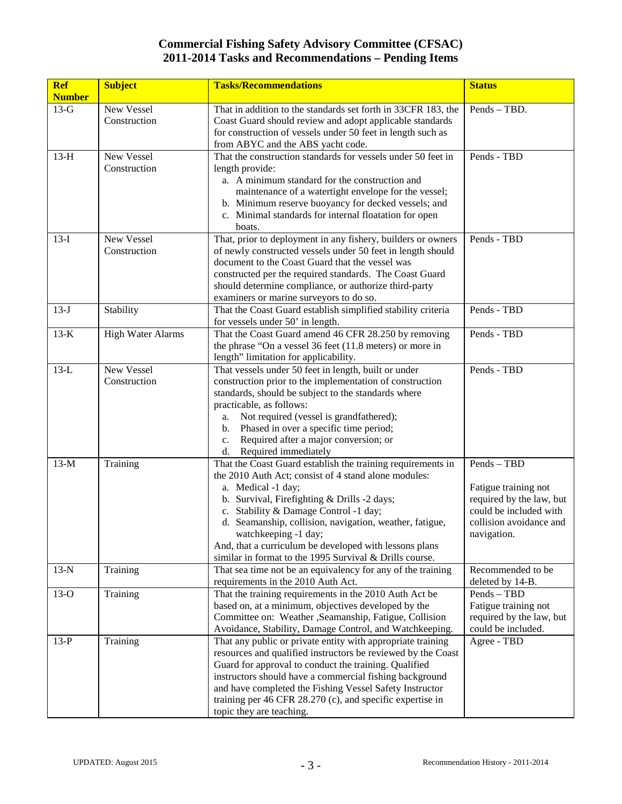| <b>Ref</b><br><b>Number</b> | <b>Subject</b>           | <b>Tasks/Recommendations</b>                                                                                                | <b>Status</b>                                    |
|-----------------------------|--------------------------|-----------------------------------------------------------------------------------------------------------------------------|--------------------------------------------------|
| $13-G$                      | New Vessel               | That in addition to the standards set forth in 33CFR 183, the                                                               | Pends - TBD.                                     |
|                             | Construction             | Coast Guard should review and adopt applicable standards                                                                    |                                                  |
|                             |                          | for construction of vessels under 50 feet in length such as                                                                 |                                                  |
|                             |                          | from ABYC and the ABS yacht code.                                                                                           |                                                  |
| $13-H$                      | New Vessel               | That the construction standards for vessels under 50 feet in                                                                | Pends - TBD                                      |
|                             | Construction             | length provide:                                                                                                             |                                                  |
|                             |                          | a. A minimum standard for the construction and                                                                              |                                                  |
|                             |                          | maintenance of a watertight envelope for the vessel;                                                                        |                                                  |
|                             |                          | b. Minimum reserve buoyancy for decked vessels; and                                                                         |                                                  |
|                             |                          | c. Minimal standards for internal floatation for open                                                                       |                                                  |
|                             | New Vessel               | boats.                                                                                                                      | Pends - TBD                                      |
| $13-I$                      | Construction             | That, prior to deployment in any fishery, builders or owners<br>of newly constructed vessels under 50 feet in length should |                                                  |
|                             |                          | document to the Coast Guard that the vessel was                                                                             |                                                  |
|                             |                          | constructed per the required standards. The Coast Guard                                                                     |                                                  |
|                             |                          | should determine compliance, or authorize third-party                                                                       |                                                  |
|                             |                          | examiners or marine surveyors to do so.                                                                                     |                                                  |
| $13-J$                      | Stability                | That the Coast Guard establish simplified stability criteria                                                                | Pends - TBD                                      |
|                             |                          | for vessels under 50' in length.                                                                                            |                                                  |
| $13-K$                      | <b>High Water Alarms</b> | That the Coast Guard amend 46 CFR 28.250 by removing                                                                        | Pends - TBD                                      |
|                             |                          | the phrase "On a vessel 36 feet (11.8 meters) or more in                                                                    |                                                  |
|                             |                          | length" limitation for applicability.                                                                                       |                                                  |
| $13-L$                      | New Vessel               | That vessels under 50 feet in length, built or under                                                                        | Pends - TBD                                      |
|                             | Construction             | construction prior to the implementation of construction                                                                    |                                                  |
|                             |                          | standards, should be subject to the standards where                                                                         |                                                  |
|                             |                          | practicable, as follows:                                                                                                    |                                                  |
|                             |                          | Not required (vessel is grandfathered);<br>a.                                                                               |                                                  |
|                             |                          | Phased in over a specific time period;<br>b.                                                                                |                                                  |
|                             |                          | Required after a major conversion; or<br>c.<br>Required immediately<br>d.                                                   |                                                  |
| $13-M$                      | Training                 | That the Coast Guard establish the training requirements in                                                                 | Pends - TBD                                      |
|                             |                          | the 2010 Auth Act; consist of 4 stand alone modules:                                                                        |                                                  |
|                             |                          | a. Medical -1 day;                                                                                                          | Fatigue training not                             |
|                             |                          | b. Survival, Firefighting & Drills -2 days;                                                                                 | required by the law, but                         |
|                             |                          | c. Stability & Damage Control -1 day;                                                                                       | could be included with                           |
|                             |                          | d. Seamanship, collision, navigation, weather, fatigue,                                                                     | collision avoidance and                          |
|                             |                          | watchkeeping -1 day;                                                                                                        | navigation.                                      |
|                             |                          | And, that a curriculum be developed with lessons plans                                                                      |                                                  |
|                             |                          | similar in format to the 1995 Survival & Drills course.                                                                     |                                                  |
| $13-N$                      | Training                 | That sea time not be an equivalency for any of the training                                                                 | Recommended to be                                |
|                             |                          | requirements in the 2010 Auth Act.                                                                                          | deleted by 14-B.                                 |
| $13-O$                      | Training                 | That the training requirements in the 2010 Auth Act be                                                                      | Pends - TBD                                      |
|                             |                          | based on, at a minimum, objectives developed by the<br>Committee on: Weather ,Seamanship, Fatigue, Collision                | Fatigue training not<br>required by the law, but |
|                             |                          | Avoidance, Stability, Damage Control, and Watchkeeping.                                                                     | could be included.                               |
| $13-P$                      | Training                 | That any public or private entity with appropriate training                                                                 | Agree - TBD                                      |
|                             |                          | resources and qualified instructors be reviewed by the Coast                                                                |                                                  |
|                             |                          | Guard for approval to conduct the training. Qualified                                                                       |                                                  |
|                             |                          | instructors should have a commercial fishing background                                                                     |                                                  |
|                             |                          | and have completed the Fishing Vessel Safety Instructor                                                                     |                                                  |
|                             |                          | training per 46 CFR 28.270 (c), and specific expertise in                                                                   |                                                  |
|                             |                          | topic they are teaching.                                                                                                    |                                                  |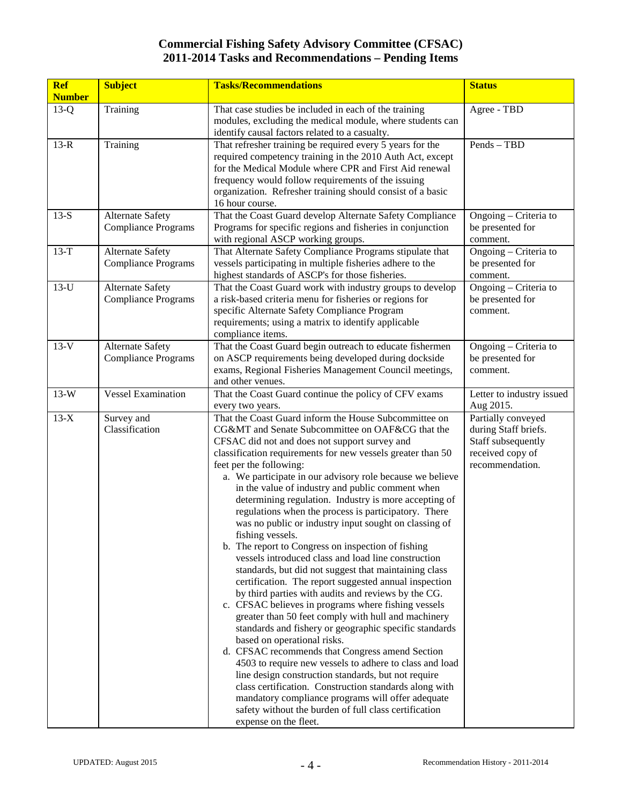| <b>Ref</b><br><b>Number</b> | <b>Subject</b>                                        | <b>Tasks/Recommendations</b>                                                                                                                                                                                                                                                                                                                                                                                                                                                                                                                                                                                                                                                                                                                                                                                                                                                                                                                                                                                                                                                                                                                                                                                                                                                                                                                                                                                                           | <b>Status</b>                                                                                           |
|-----------------------------|-------------------------------------------------------|----------------------------------------------------------------------------------------------------------------------------------------------------------------------------------------------------------------------------------------------------------------------------------------------------------------------------------------------------------------------------------------------------------------------------------------------------------------------------------------------------------------------------------------------------------------------------------------------------------------------------------------------------------------------------------------------------------------------------------------------------------------------------------------------------------------------------------------------------------------------------------------------------------------------------------------------------------------------------------------------------------------------------------------------------------------------------------------------------------------------------------------------------------------------------------------------------------------------------------------------------------------------------------------------------------------------------------------------------------------------------------------------------------------------------------------|---------------------------------------------------------------------------------------------------------|
| $13-Q$                      | Training                                              | That case studies be included in each of the training<br>modules, excluding the medical module, where students can<br>identify causal factors related to a casualty.                                                                                                                                                                                                                                                                                                                                                                                                                                                                                                                                                                                                                                                                                                                                                                                                                                                                                                                                                                                                                                                                                                                                                                                                                                                                   | Agree - TBD                                                                                             |
| $13-R$                      | Training                                              | That refresher training be required every 5 years for the<br>required competency training in the 2010 Auth Act, except<br>for the Medical Module where CPR and First Aid renewal<br>frequency would follow requirements of the issuing<br>organization. Refresher training should consist of a basic<br>16 hour course.                                                                                                                                                                                                                                                                                                                                                                                                                                                                                                                                                                                                                                                                                                                                                                                                                                                                                                                                                                                                                                                                                                                | Pends - TBD                                                                                             |
| $13-S$                      | <b>Alternate Safety</b><br><b>Compliance Programs</b> | That the Coast Guard develop Alternate Safety Compliance<br>Programs for specific regions and fisheries in conjunction<br>with regional ASCP working groups.                                                                                                                                                                                                                                                                                                                                                                                                                                                                                                                                                                                                                                                                                                                                                                                                                                                                                                                                                                                                                                                                                                                                                                                                                                                                           | Ongoing - Criteria to<br>be presented for<br>comment.                                                   |
| $13-T$                      | <b>Alternate Safety</b><br><b>Compliance Programs</b> | That Alternate Safety Compliance Programs stipulate that<br>vessels participating in multiple fisheries adhere to the<br>highest standards of ASCP's for those fisheries.                                                                                                                                                                                                                                                                                                                                                                                                                                                                                                                                                                                                                                                                                                                                                                                                                                                                                                                                                                                                                                                                                                                                                                                                                                                              | Ongoing - Criteria to<br>be presented for<br>comment.                                                   |
| $13-U$                      | <b>Alternate Safety</b><br><b>Compliance Programs</b> | That the Coast Guard work with industry groups to develop<br>a risk-based criteria menu for fisheries or regions for<br>specific Alternate Safety Compliance Program<br>requirements; using a matrix to identify applicable<br>compliance items.                                                                                                                                                                                                                                                                                                                                                                                                                                                                                                                                                                                                                                                                                                                                                                                                                                                                                                                                                                                                                                                                                                                                                                                       | Ongoing - Criteria to<br>be presented for<br>comment.                                                   |
| $13-V$                      | <b>Alternate Safety</b><br><b>Compliance Programs</b> | That the Coast Guard begin outreach to educate fishermen<br>on ASCP requirements being developed during dockside<br>exams, Regional Fisheries Management Council meetings,<br>and other venues.                                                                                                                                                                                                                                                                                                                                                                                                                                                                                                                                                                                                                                                                                                                                                                                                                                                                                                                                                                                                                                                                                                                                                                                                                                        | Ongoing - Criteria to<br>be presented for<br>comment.                                                   |
| $13-W$                      | <b>Vessel Examination</b>                             | That the Coast Guard continue the policy of CFV exams<br>every two years.                                                                                                                                                                                                                                                                                                                                                                                                                                                                                                                                                                                                                                                                                                                                                                                                                                                                                                                                                                                                                                                                                                                                                                                                                                                                                                                                                              | Letter to industry issued<br>Aug 2015.                                                                  |
| $13-X$                      | Survey and<br>Classification                          | That the Coast Guard inform the House Subcommittee on<br>CG&MT and Senate Subcommittee on OAF&CG that the<br>CFSAC did not and does not support survey and<br>classification requirements for new vessels greater than 50<br>feet per the following:<br>a. We participate in our advisory role because we believe<br>in the value of industry and public comment when<br>determining regulation. Industry is more accepting of<br>regulations when the process is participatory. There<br>was no public or industry input sought on classing of<br>fishing vessels.<br>b. The report to Congress on inspection of fishing<br>vessels introduced class and load line construction<br>standards, but did not suggest that maintaining class<br>certification. The report suggested annual inspection<br>by third parties with audits and reviews by the CG.<br>c. CFSAC believes in programs where fishing vessels<br>greater than 50 feet comply with hull and machinery<br>standards and fishery or geographic specific standards<br>based on operational risks.<br>d. CFSAC recommends that Congress amend Section<br>4503 to require new vessels to adhere to class and load<br>line design construction standards, but not require<br>class certification. Construction standards along with<br>mandatory compliance programs will offer adequate<br>safety without the burden of full class certification<br>expense on the fleet. | Partially conveyed<br>during Staff briefs.<br>Staff subsequently<br>received copy of<br>recommendation. |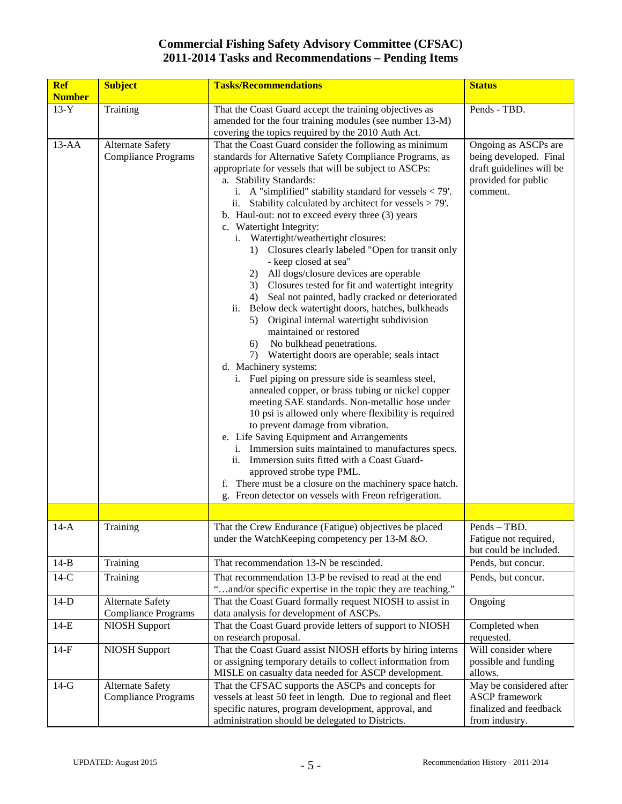| <b>Ref</b><br><b>Number</b> | <b>Subject</b>                                        | <b>Tasks/Recommendations</b>                                                                                                                                                                                                                                                                                                                                                                                                                                                                                                                                                                                                                                                                                                                                                                                                                                                                                                                                                                                                                                                                                                                                                                                                                                                                                                                                                                                                                                                                                                               | <b>Status</b>                                                                                                 |
|-----------------------------|-------------------------------------------------------|--------------------------------------------------------------------------------------------------------------------------------------------------------------------------------------------------------------------------------------------------------------------------------------------------------------------------------------------------------------------------------------------------------------------------------------------------------------------------------------------------------------------------------------------------------------------------------------------------------------------------------------------------------------------------------------------------------------------------------------------------------------------------------------------------------------------------------------------------------------------------------------------------------------------------------------------------------------------------------------------------------------------------------------------------------------------------------------------------------------------------------------------------------------------------------------------------------------------------------------------------------------------------------------------------------------------------------------------------------------------------------------------------------------------------------------------------------------------------------------------------------------------------------------------|---------------------------------------------------------------------------------------------------------------|
| $13-Y$                      | Training                                              | That the Coast Guard accept the training objectives as<br>amended for the four training modules (see number 13-M)<br>covering the topics required by the 2010 Auth Act.                                                                                                                                                                                                                                                                                                                                                                                                                                                                                                                                                                                                                                                                                                                                                                                                                                                                                                                                                                                                                                                                                                                                                                                                                                                                                                                                                                    | Pends - TBD.                                                                                                  |
| $13-AA$                     | <b>Alternate Safety</b><br><b>Compliance Programs</b> | That the Coast Guard consider the following as minimum<br>standards for Alternative Safety Compliance Programs, as<br>appropriate for vessels that will be subject to ASCPs:<br>a. Stability Standards:<br>i. A "simplified" stability standard for vessels $<$ 79'.<br>Stability calculated by architect for vessels > 79'.<br>11.<br>b. Haul-out: not to exceed every three (3) years<br>c. Watertight Integrity:<br>i. Watertight/weathertight closures:<br>1) Closures clearly labeled "Open for transit only<br>- keep closed at sea"<br>2) All dogs/closure devices are operable<br>3) Closures tested for fit and watertight integrity<br>4) Seal not painted, badly cracked or deteriorated<br>Below deck watertight doors, hatches, bulkheads<br>ii.<br>5) Original internal watertight subdivision<br>maintained or restored<br>6) No bulkhead penetrations.<br>7) Watertight doors are operable; seals intact<br>d. Machinery systems:<br>Fuel piping on pressure side is seamless steel,<br>$\mathbf{i}$ .<br>annealed copper, or brass tubing or nickel copper<br>meeting SAE standards. Non-metallic hose under<br>10 psi is allowed only where flexibility is required<br>to prevent damage from vibration.<br>e. Life Saving Equipment and Arrangements<br>i. Immersion suits maintained to manufactures specs.<br>Immersion suits fitted with a Coast Guard-<br>ii.<br>approved strobe type PML.<br>There must be a closure on the machinery space hatch.<br>f.<br>g. Freon detector on vessels with Freon refrigeration. | Ongoing as ASCPs are<br>being developed. Final<br>draft guidelines will be<br>provided for public<br>comment. |
| $14-A$                      |                                                       |                                                                                                                                                                                                                                                                                                                                                                                                                                                                                                                                                                                                                                                                                                                                                                                                                                                                                                                                                                                                                                                                                                                                                                                                                                                                                                                                                                                                                                                                                                                                            | Pends - TBD.                                                                                                  |
|                             | Training                                              | That the Crew Endurance (Fatigue) objectives be placed<br>under the WatchKeeping competency per 13-M &O.                                                                                                                                                                                                                                                                                                                                                                                                                                                                                                                                                                                                                                                                                                                                                                                                                                                                                                                                                                                                                                                                                                                                                                                                                                                                                                                                                                                                                                   | Fatigue not required,<br>but could be included.                                                               |
| $14-B$                      | Training                                              | That recommendation 13-N be rescinded.                                                                                                                                                                                                                                                                                                                                                                                                                                                                                                                                                                                                                                                                                                                                                                                                                                                                                                                                                                                                                                                                                                                                                                                                                                                                                                                                                                                                                                                                                                     | Pends, but concur.                                                                                            |
| $14-C$                      | Training                                              | That recommendation 13-P be revised to read at the end<br>"and/or specific expertise in the topic they are teaching."                                                                                                                                                                                                                                                                                                                                                                                                                                                                                                                                                                                                                                                                                                                                                                                                                                                                                                                                                                                                                                                                                                                                                                                                                                                                                                                                                                                                                      | Pends, but concur.                                                                                            |
| $14-D$                      | <b>Alternate Safety</b><br><b>Compliance Programs</b> | That the Coast Guard formally request NIOSH to assist in<br>data analysis for development of ASCPs.                                                                                                                                                                                                                                                                                                                                                                                                                                                                                                                                                                                                                                                                                                                                                                                                                                                                                                                                                                                                                                                                                                                                                                                                                                                                                                                                                                                                                                        | Ongoing                                                                                                       |
| $14-E$                      | <b>NIOSH Support</b>                                  | That the Coast Guard provide letters of support to NIOSH<br>on research proposal.                                                                                                                                                                                                                                                                                                                                                                                                                                                                                                                                                                                                                                                                                                                                                                                                                                                                                                                                                                                                                                                                                                                                                                                                                                                                                                                                                                                                                                                          | Completed when<br>requested.                                                                                  |
| $14-F$                      | <b>NIOSH Support</b>                                  | That the Coast Guard assist NIOSH efforts by hiring interns<br>or assigning temporary details to collect information from<br>MISLE on casualty data needed for ASCP development.                                                                                                                                                                                                                                                                                                                                                                                                                                                                                                                                                                                                                                                                                                                                                                                                                                                                                                                                                                                                                                                                                                                                                                                                                                                                                                                                                           | Will consider where<br>possible and funding<br>allows.                                                        |
| $14-G$                      | <b>Alternate Safety</b><br><b>Compliance Programs</b> | That the CFSAC supports the ASCPs and concepts for<br>vessels at least 50 feet in length. Due to regional and fleet<br>specific natures, program development, approval, and<br>administration should be delegated to Districts.                                                                                                                                                                                                                                                                                                                                                                                                                                                                                                                                                                                                                                                                                                                                                                                                                                                                                                                                                                                                                                                                                                                                                                                                                                                                                                            | May be considered after<br><b>ASCP</b> framework<br>finalized and feedback<br>from industry.                  |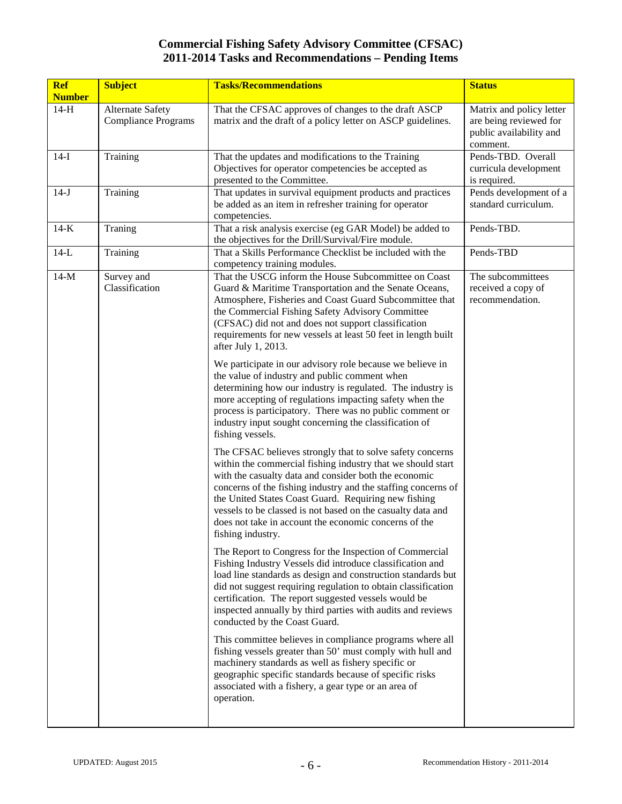| <b>Ref</b><br><b>Number</b> | <b>Subject</b>                                        | <b>Tasks/Recommendations</b>                                                                                                                                                                                                                                                                                                                                                                                                                            | <b>Status</b>                                                                             |
|-----------------------------|-------------------------------------------------------|---------------------------------------------------------------------------------------------------------------------------------------------------------------------------------------------------------------------------------------------------------------------------------------------------------------------------------------------------------------------------------------------------------------------------------------------------------|-------------------------------------------------------------------------------------------|
| $14-H$                      | <b>Alternate Safety</b><br><b>Compliance Programs</b> | That the CFSAC approves of changes to the draft ASCP<br>matrix and the draft of a policy letter on ASCP guidelines.                                                                                                                                                                                                                                                                                                                                     | Matrix and policy letter<br>are being reviewed for<br>public availability and<br>comment. |
| $14-I$                      | Training                                              | That the updates and modifications to the Training<br>Objectives for operator competencies be accepted as<br>presented to the Committee.                                                                                                                                                                                                                                                                                                                | Pends-TBD. Overall<br>curricula development<br>is required.                               |
| $14-J$                      | Training                                              | That updates in survival equipment products and practices<br>be added as an item in refresher training for operator<br>competencies.                                                                                                                                                                                                                                                                                                                    | Pends development of a<br>standard curriculum.                                            |
| $14-K$                      | Traning                                               | That a risk analysis exercise (eg GAR Model) be added to<br>the objectives for the Drill/Survival/Fire module.                                                                                                                                                                                                                                                                                                                                          | Pends-TBD.                                                                                |
| $14-L$                      | Training                                              | That a Skills Performance Checklist be included with the<br>competency training modules.                                                                                                                                                                                                                                                                                                                                                                | Pends-TBD                                                                                 |
| $14-M$                      | Survey and<br>Classification                          | That the USCG inform the House Subcommittee on Coast<br>Guard & Maritime Transportation and the Senate Oceans,<br>Atmosphere, Fisheries and Coast Guard Subcommittee that<br>the Commercial Fishing Safety Advisory Committee<br>(CFSAC) did not and does not support classification<br>requirements for new vessels at least 50 feet in length built<br>after July 1, 2013.                                                                            | The subcommittees<br>received a copy of<br>recommendation.                                |
|                             |                                                       | We participate in our advisory role because we believe in<br>the value of industry and public comment when<br>determining how our industry is regulated. The industry is<br>more accepting of regulations impacting safety when the<br>process is participatory. There was no public comment or<br>industry input sought concerning the classification of<br>fishing vessels.                                                                           |                                                                                           |
|                             |                                                       | The CFSAC believes strongly that to solve safety concerns<br>within the commercial fishing industry that we should start<br>with the casualty data and consider both the economic<br>concerns of the fishing industry and the staffing concerns of<br>the United States Coast Guard. Requiring new fishing<br>vessels to be classed is not based on the casualty data and<br>does not take in account the economic concerns of the<br>fishing industry. |                                                                                           |
|                             |                                                       | The Report to Congress for the Inspection of Commercial<br>Fishing Industry Vessels did introduce classification and<br>load line standards as design and construction standards but<br>did not suggest requiring regulation to obtain classification<br>certification. The report suggested vessels would be<br>inspected annually by third parties with audits and reviews<br>conducted by the Coast Guard.                                           |                                                                                           |
|                             |                                                       | This committee believes in compliance programs where all<br>fishing vessels greater than 50' must comply with hull and<br>machinery standards as well as fishery specific or<br>geographic specific standards because of specific risks<br>associated with a fishery, a gear type or an area of<br>operation.                                                                                                                                           |                                                                                           |